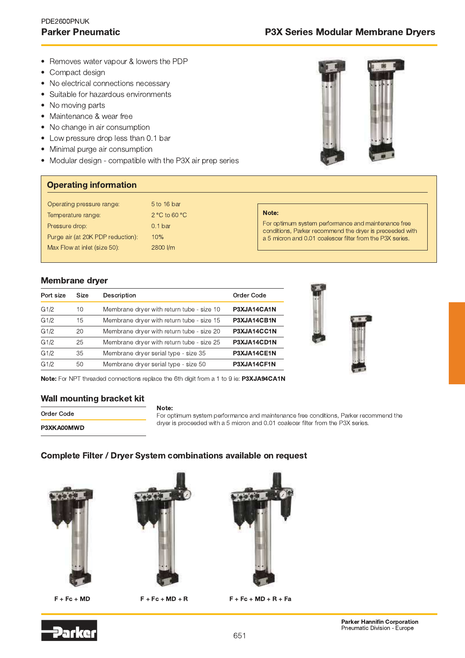## PDE2600PNUK **Parker Pneumatic**

- Removes water vapour & lowers the PDP
- Compact design  $\bullet$
- No electrical connections necessary  $\bullet$
- Suitable for hazardous environments
- No moving parts
- Maintenance & wear free
- No change in air consumption
- Low pressure drop less than 0.1 bar
- Minimal purge air consumption
- Modular design compatible with the P3X air prep series



### **Operating information**

| Operating pressure range:         | 5 to 16 bar                      |                                                                                                                 |
|-----------------------------------|----------------------------------|-----------------------------------------------------------------------------------------------------------------|
| Temperature range:                | $2^{\circ}$ C to 60 $^{\circ}$ C | Note:                                                                                                           |
| Pressure drop:                    | 0.1 <sub>bar</sub>               | For optimum system performance and maintenance free<br>conditions, Parker recommend the dryer is preceeded with |
| Purge air (at 20K PDP reduction): | 10%                              | a 5 micron and 0.01 coalescer filter from the P3X series.                                                       |
| Max Flow at inlet (size 50):      | 2800 l/m                         |                                                                                                                 |
|                                   |                                  |                                                                                                                 |

## **Membrane dryer**

| Port size | <b>Size</b> | Description                               | Order Code  |
|-----------|-------------|-------------------------------------------|-------------|
| G1/2      | 10          | Membrane dryer with return tube - size 10 | P3XJA14CA1N |
| G1/2      | 15          | Membrane dryer with return tube - size 15 | P3XJA14CB1N |
| G1/2      | 20          | Membrane dryer with return tube - size 20 | P3XJA14CC1N |
| G1/2      | 25          | Membrane dryer with return tube - size 25 | P3XJA14CD1N |
| G1/2      | 35          | Membrane dryer serial type - size 35      | P3XJA14CE1N |
| G1/2      | 50          | Membrane dryer serial type - size 50      | P3XJA14CF1N |



Note: For NPT threaded connections replace the 6th digit from a 1 to 9 ie: P3XJA94CA1N

### Wall mounting bracket kit

| Order Code |  |
|------------|--|
| P3XKA00MWD |  |

Note: For optimum system performance and maintenance free conditions, Parker recommend the dryer is proceeded with a 5 micron and 0.01 coalecer filter from the P3X series.

# Complete Filter / Dryer System combinations available on request



 $F + Fc + MD$ 



 $F + Fc + MD + R$ 



 $F + Fc + MD + R + Fa$ 

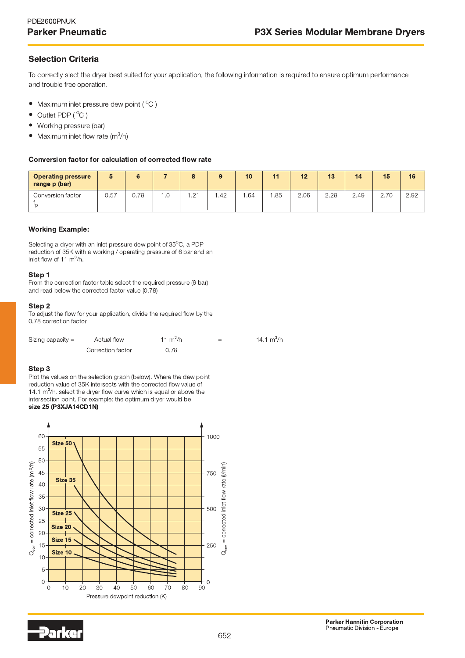# **Selection Criteria**

To correctly slect the dryer best suited for your application, the following information is required to ensure optimum performance and trouble free operation.

- Maximum inlet pressure dew point ( $^{\circ}$ C)
- Outlet PDP (°C)  $\bullet$
- $\bullet$ Working pressure (bar)
- Maximum inlet flow rate  $(m^3/h)$  $\bullet$

#### Conversion factor for calculation of corrected flow rate

| <b>Operating pressure</b><br>range p (bar) |      |      |     |     | 9   | 10  | $-1 - 1$ | 12   | 13   | 14   | 15   | 16   |
|--------------------------------------------|------|------|-----|-----|-----|-----|----------|------|------|------|------|------|
| Conversion factor                          | 0.57 | ง.78 | ت . | .21 | .42 | .64 | . 85     | 2.06 | 2.28 | 2.49 | 2.70 | 2.92 |

#### **Working Example:**

Selecting a dryer with an inlet pressure dew point of 35°C, a PDP reduction of 35K with a working / operating pressure of 6 bar and an inlet flow of 11  $m^3/h$ .

#### Step 1

From the correction factor table select the required pressure (6 bar) and read below the corrected factor value (0.78)

#### Step 2

To adjust the flow for your application, divide the required flow by the 0.78 correction factor

| Sizing capacity $=$ | Actual flow       | 11 m <sup>3</sup> /h | 14.1 $m^3/h$<br>$=$ |  |  |  |
|---------------------|-------------------|----------------------|---------------------|--|--|--|
|                     | Correction factor | 0.78                 |                     |  |  |  |

#### Step<sub>3</sub>

Plot the values on the selection graph (below). Where the dew point reduction value of 35K intersects with the corrected flow value of 14.1  $\text{m}^3/\text{h}$ , select the dryer flow curve which is equal or above the intersection point. For example: the optimum drver would be size 25 (P3XJA14CD1N)



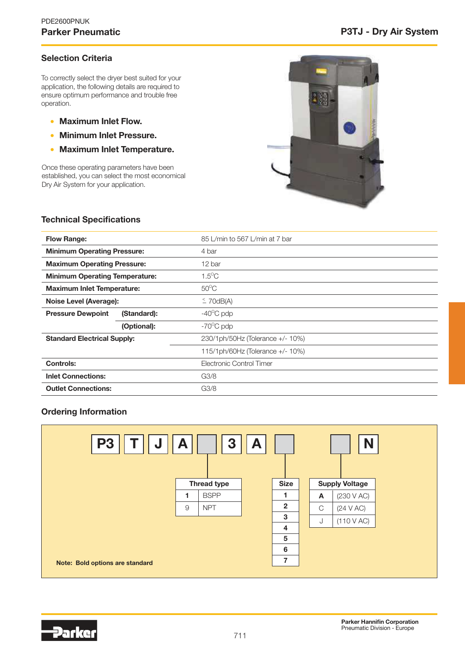# Selection Criteria

To correctly select the dryer best suited for your application, the following details are required to ensure optimum performance and trouble free operation.

- Maximum Inlet Flow.
- Minimum Inlet Pressure.
- Maximum Inlet Temperature.

Once these operating parameters have been established, you can select the most economical Dry Air System for your application.



## Technical Specifications

| <b>Flow Range:</b>                      |             | 85 L/min to 567 L/min at 7 bar   |
|-----------------------------------------|-------------|----------------------------------|
| <b>Minimum Operating Pressure:</b>      |             | 4 bar                            |
| <b>Maximum Operating Pressure:</b>      |             | 12 bar                           |
| <b>Minimum Operating Temperature:</b>   |             | $1.5^{\circ}$ C                  |
| <b>Maximum Inlet Temperature:</b>       |             | $50^{\circ}$ C                   |
| Noise Level (Average):                  |             | $\leq$ 70dB(A)                   |
| <b>Pressure Dewpoint</b><br>(Standard): |             | $-40^{\circ}$ C pdp              |
|                                         | (Optional): | $-70^{\circ}$ C pdp              |
| <b>Standard Electrical Supply:</b>      |             | 230/1ph/50Hz (Tolerance +/- 10%) |
|                                         |             | 115/1ph/60Hz (Tolerance +/- 10%) |
| Controls:                               |             | Electronic Control Timer         |
| <b>Inlet Connections:</b>               |             | G3/8                             |
| <b>Outlet Connections:</b>              |             | G3/8                             |

## Ordering Information



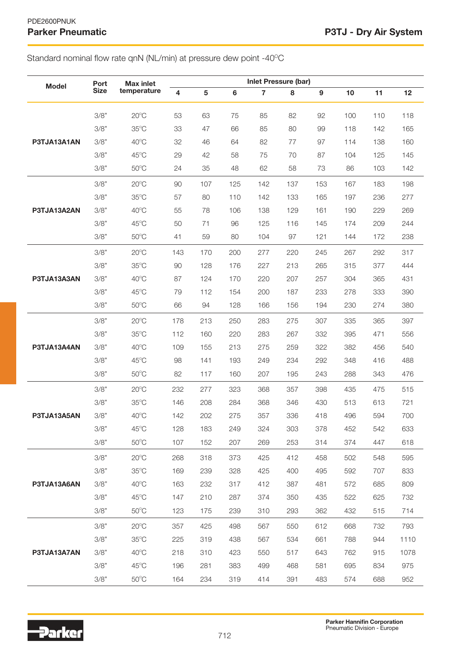# Standard nominal flow rate qnN (NL/min) at pressure dew point -40°C

| <b>Model</b> | Port        | <b>Max inlet</b> | <b>Inlet Pressure (bar)</b> |     |     |                |     |                  |     |     |      |
|--------------|-------------|------------------|-----------------------------|-----|-----|----------------|-----|------------------|-----|-----|------|
|              | <b>Size</b> | temperature      | $\overline{\mathbf{4}}$     | 5   | 6   | $\overline{7}$ | 8   | $\boldsymbol{9}$ | 10  | 11  | 12   |
|              | 3/8"        | $20^{\circ}$ C   | 53                          | 63  | 75  | 85             | 82  | 92               | 100 | 110 | 118  |
|              | 3/8"        | $35^{\circ}$ C   | 33                          | 47  | 66  | 85             | 80  | 99               | 118 | 142 | 165  |
| P3TJA13A1AN  | 3/8"        | $40^{\circ}$ C   | 32                          | 46  | 64  | 82             | 77  | 97               | 114 | 138 | 160  |
|              | 3/8"        | $45^{\circ}$ C   | 29                          | 42  | 58  | 75             | 70  | 87               | 104 | 125 | 145  |
|              | 3/8"        | $50^{\circ}$ C   | 24                          | 35  | 48  | 62             | 58  | 73               | 86  | 103 | 142  |
|              | 3/8"        | $20^{\circ}$ C   | 90                          | 107 | 125 | 142            | 137 | 153              | 167 | 183 | 198  |
|              | 3/8"        | $35^{\circ}$ C   | 57                          | 80  | 110 | 142            | 133 | 165              | 197 | 236 | 277  |
| P3TJA13A2AN  | 3/8"        | $40^{\circ}$ C   | 55                          | 78  | 106 | 138            | 129 | 161              | 190 | 229 | 269  |
|              | 3/8"        | $45^{\circ}$ C   | 50                          | 71  | 96  | 125            | 116 | 145              | 174 | 209 | 244  |
|              | 3/8"        | $50^{\circ}$ C   | 41                          | 59  | 80  | 104            | 97  | 121              | 144 | 172 | 238  |
|              | 3/8"        | $20^{\circ}$ C   | 143                         | 170 | 200 | 277            | 220 | 245              | 267 | 292 | 317  |
|              | 3/8"        | $35^{\circ}$ C   | 90                          | 128 | 176 | 227            | 213 | 265              | 315 | 377 | 444  |
| P3TJA13A3AN  | 3/8"        | $40^{\circ}$ C   | 87                          | 124 | 170 | 220            | 207 | 257              | 304 | 365 | 431  |
|              | 3/8"        | $45^{\circ}$ C   | 79                          | 112 | 154 | 200            | 187 | 233              | 278 | 333 | 390  |
|              | 3/8"        | $50^{\circ}$ C   | 66                          | 94  | 128 | 166            | 156 | 194              | 230 | 274 | 380  |
|              | 3/8"        | $20^{\circ}$ C   | 178                         | 213 | 250 | 283            | 275 | 307              | 335 | 365 | 397  |
|              | 3/8"        | $35^{\circ}$ C   | 112                         | 160 | 220 | 283            | 267 | 332              | 395 | 471 | 556  |
| P3TJA13A4AN  | 3/8"        | 40°C             | 109                         | 155 | 213 | 275            | 259 | 322              | 382 | 456 | 540  |
|              | 3/8"        | $45^{\circ}$ C   | 98                          | 141 | 193 | 249            | 234 | 292              | 348 | 416 | 488  |
|              | 3/8"        | $50^{\circ}$ C   | 82                          | 117 | 160 | 207            | 195 | 243              | 288 | 343 | 476  |
|              | 3/8"        | $20^{\circ}$ C   | 232                         | 277 | 323 | 368            | 357 | 398              | 435 | 475 | 515  |
|              | 3/8"        | $35^{\circ}$ C   | 146                         | 208 | 284 | 368            | 346 | 430              | 513 | 613 | 721  |
| P3TJA13A5AN  | 3/8"        | $40^{\circ}$ C   | 142                         | 202 | 275 | 357            | 336 | 418              | 496 | 594 | 700  |
|              | 3/8"        | $45^{\circ}$ C   | 128                         | 183 | 249 | 324            | 303 | 378              | 452 | 542 | 633  |
|              | 3/8"        | $50^{\circ}$ C   | 107                         | 152 | 207 | 269            | 253 | 314              | 374 | 447 | 618  |
|              | 3/8"        | $20^{\circ}$ C   | 268                         | 318 | 373 | 425            | 412 | 458              | 502 | 548 | 595  |
|              | 3/8"        | $35^{\circ}$ C   | 169                         | 239 | 328 | 425            | 400 | 495              | 592 | 707 | 833  |
| P3TJA13A6AN  | 3/8"        | $40^{\circ}$ C   | 163                         | 232 | 317 | 412            | 387 | 481              | 572 | 685 | 809  |
|              | 3/8"        | $45^{\circ}$ C   | 147                         | 210 | 287 | 374            | 350 | 435              | 522 | 625 | 732  |
|              | 3/8"        | $50^{\circ}$ C   | 123                         | 175 | 239 | 310            | 293 | 362              | 432 | 515 | 714  |
|              | 3/8"        | $20^{\circ}$ C   | 357                         | 425 | 498 | 567            | 550 | 612              | 668 | 732 | 793  |
|              | 3/8"        | $35^{\circ}$ C   | 225                         | 319 | 438 | 567            | 534 | 661              | 788 | 944 | 1110 |
| P3TJA13A7AN  | 3/8"        | $40^{\circ}$ C   | 218                         | 310 | 423 | 550            | 517 | 643              | 762 | 915 | 1078 |
|              | 3/8"        | $45^{\circ}$ C   | 196                         | 281 | 383 | 499            | 468 | 581              | 695 | 834 | 975  |
|              | 3/8"        | $50^{\circ}$ C   | 164                         | 234 | 319 | 414            | 391 | 483              | 574 | 688 | 952  |